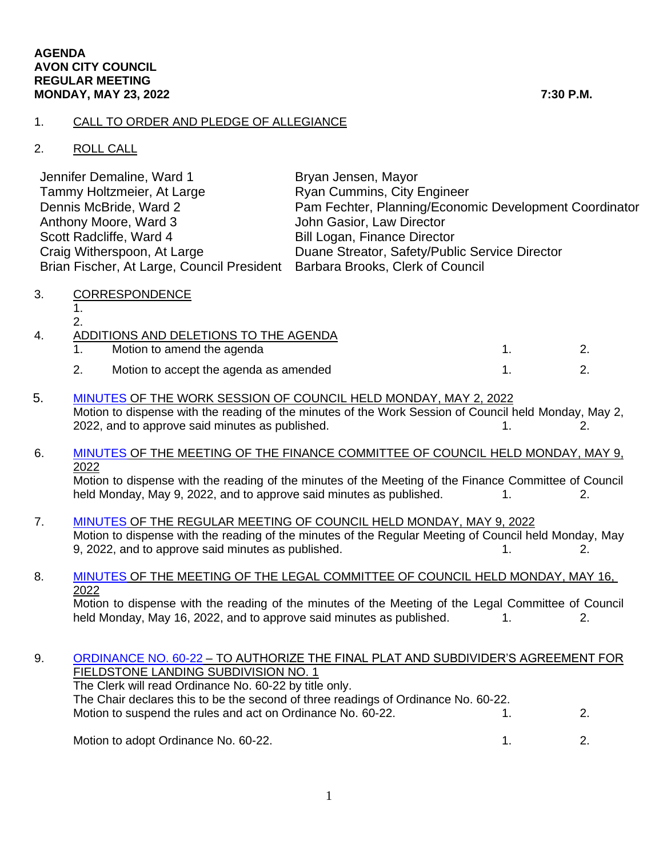### 1. CALL TO ORDER AND PLEDGE OF ALLEGIANCE

## 2. ROLL CALL

| Jennifer Demaline, Ward 1                                                   | Bryan Jensen, Mayor                                    |
|-----------------------------------------------------------------------------|--------------------------------------------------------|
| Tammy Holtzmeier, At Large                                                  | <b>Ryan Cummins, City Engineer</b>                     |
| Dennis McBride, Ward 2                                                      | Pam Fechter, Planning/Economic Development Coordinator |
| Anthony Moore, Ward 3                                                       | John Gasior, Law Director                              |
| Scott Radcliffe, Ward 4                                                     | <b>Bill Logan, Finance Director</b>                    |
| Craig Witherspoon, At Large                                                 | Duane Streator, Safety/Public Service Director         |
| Brian Fischer, At Large, Council President Barbara Brooks, Clerk of Council |                                                        |

3. CORRESPONDENCE

1. 2.

| 4. | ADDITIONS AND DELETIONS TO THE AGENDA  |  |
|----|----------------------------------------|--|
|    | Motion to amend the agenda             |  |
|    | Motion to accept the agenda as amended |  |

5. [MINUTES](https://www.cityofavon.com/AgendaCenter/ViewFile/Minutes/_05022022-1095) OF THE WORK SESSION OF COUNCIL HELD MONDAY, MAY 2, 2022 Motion to dispense with the reading of the minutes of the Work Session of Council held Monday, May 2, 2022, and to approve said minutes as published.  $1.$  2.

### 6. [MINUTES](https://www.cityofavon.com/AgendaCenter/ViewFile/Minutes/_05092022-1087) OF THE MEETING OF THE FINANCE COMMITTEE OF COUNCIL HELD MONDAY, MAY 9, 2022

Motion to dispense with the reading of the minutes of the Meeting of the Finance Committee of Council held Monday, May 9, 2022, and to approve said minutes as published. 1. 2.

 7. [MINUTES](https://www.cityofavon.com/AgendaCenter/ViewFile/Minutes/_05092022-1100) OF THE REGULAR MEETING OF COUNCIL HELD MONDAY, MAY 9, 2022 Motion to dispense with the reading of the minutes of the Regular Meeting of Council held Monday, May 9, 2022, and to approve said minutes as published. 1. 1. 2.

# 8. [MINUTES](https://www.cityofavon.com/AgendaCenter/ViewFile/Minutes/_05162022-1105) OF THE MEETING OF THE LEGAL COMMITTEE OF COUNCIL HELD MONDAY, MAY 16, 2022

Motion to dispense with the reading of the minutes of the Meeting of the Legal Committee of Council held Monday, May 16, 2022, and to approve said minutes as published. 1. 2.

### 9. [ORDINANCE NO. 60-22](https://www.cityofavon.com/DocumentCenter/View/7810/Ordinance-No-60-22-Fieldstone-Auth-SDA--PB) – TO AUTHORIZE THE FINAL PLAT AND SUBDIVIDER'S AGREEMENT FOR FIELDSTONE LANDING SUBDIVISION NO. 1

The Clerk will read Ordinance No. 60-22 by title only. The Chair declares this to be the second of three readings of Ordinance No. 60-22. Motion to suspend the rules and act on Ordinance No. 60-22. 1. 2.

Motion to adopt Ordinance No. 60-22. 1. 2. 2.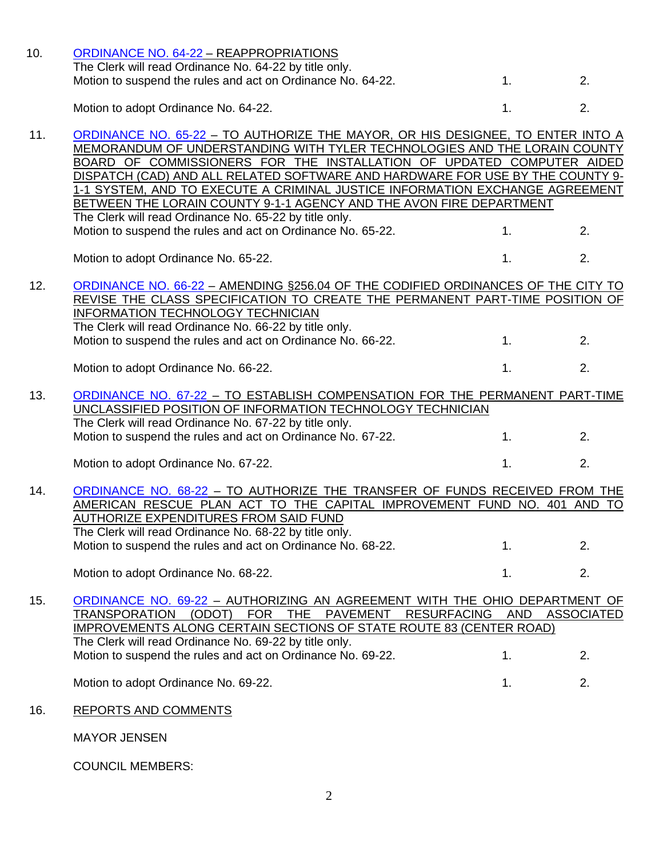| 10. | ORDINANCE NO. 64-22 - REAPPROPRIATIONS                                                                                                                                                                                                                                                                                                                                                                                                                                       |                |                         |
|-----|------------------------------------------------------------------------------------------------------------------------------------------------------------------------------------------------------------------------------------------------------------------------------------------------------------------------------------------------------------------------------------------------------------------------------------------------------------------------------|----------------|-------------------------|
|     | The Clerk will read Ordinance No. 64-22 by title only.<br>Motion to suspend the rules and act on Ordinance No. 64-22.                                                                                                                                                                                                                                                                                                                                                        | 1.             | 2.                      |
|     |                                                                                                                                                                                                                                                                                                                                                                                                                                                                              |                |                         |
|     | Motion to adopt Ordinance No. 64-22.                                                                                                                                                                                                                                                                                                                                                                                                                                         | 1.             | 2.                      |
| 11. | ORDINANCE NO. 65-22 - TO AUTHORIZE THE MAYOR, OR HIS DESIGNEE, TO ENTER INTO A<br>MEMORANDUM OF UNDERSTANDING WITH TYLER TECHNOLOGIES AND THE LORAIN COUNTY<br>BOARD OF COMMISSIONERS FOR THE INSTALLATION OF UPDATED COMPUTER AIDED<br>DISPATCH (CAD) AND ALL RELATED SOFTWARE AND HARDWARE FOR USE BY THE COUNTY 9-<br>1-1 SYSTEM, AND TO EXECUTE A CRIMINAL JUSTICE INFORMATION EXCHANGE AGREEMENT<br>BETWEEN THE LORAIN COUNTY 9-1-1 AGENCY AND THE AVON FIRE DEPARTMENT |                |                         |
|     | The Clerk will read Ordinance No. 65-22 by title only.<br>Motion to suspend the rules and act on Ordinance No. 65-22.                                                                                                                                                                                                                                                                                                                                                        | 1.             | 2.                      |
|     | Motion to adopt Ordinance No. 65-22.                                                                                                                                                                                                                                                                                                                                                                                                                                         | 1.             | 2.                      |
| 12. | ORDINANCE NO. 66-22 - AMENDING §256.04 OF THE CODIFIED ORDINANCES OF THE CITY TO<br>REVISE THE CLASS SPECIFICATION TO CREATE THE PERMANENT PART-TIME POSITION OF<br>INFORMATION TECHNOLOGY TECHNICIAN<br>The Clerk will read Ordinance No. 66-22 by title only.<br>Motion to suspend the rules and act on Ordinance No. 66-22.                                                                                                                                               | 1.             | 2.                      |
|     | Motion to adopt Ordinance No. 66-22.                                                                                                                                                                                                                                                                                                                                                                                                                                         | 1 <sub>1</sub> | 2.                      |
| 13. | ORDINANCE NO. 67-22 - TO ESTABLISH COMPENSATION FOR THE PERMANENT PART-TIME<br>UNCLASSIFIED POSITION OF INFORMATION TECHNOLOGY TECHNICIAN<br>The Clerk will read Ordinance No. 67-22 by title only.                                                                                                                                                                                                                                                                          |                |                         |
|     | Motion to suspend the rules and act on Ordinance No. 67-22.                                                                                                                                                                                                                                                                                                                                                                                                                  | 1 <sub>1</sub> | 2.                      |
|     | Motion to adopt Ordinance No. 67-22.                                                                                                                                                                                                                                                                                                                                                                                                                                         | 1.             | 2.                      |
| 14. | ORDINANCE NO. 68-22 - TO AUTHORIZE THE TRANSFER OF FUNDS RECEIVED FROM THE<br>AMERICAN RESCUE PLAN ACT TO THE CAPITAL IMPROVEMENT FUND NO. 401 AND TO<br><u>AUTHORIZE EXPENDITURES FROM SAID FUND</u><br>The Clerk will read Ordinance No. 68-22 by title only.<br>Motion to suspend the rules and act on Ordinance No. 68-22.                                                                                                                                               | 1.             | 2.                      |
|     | Motion to adopt Ordinance No. 68-22.                                                                                                                                                                                                                                                                                                                                                                                                                                         | 1.             | 2.                      |
| 15. | ORDINANCE NO. 69-22 - AUTHORIZING AN AGREEMENT WITH THE OHIO DEPARTMENT OF<br>(ODOT)<br><b>FOR</b><br>PAVEMENT<br><b>RESURFACING</b><br><b>TRANSPORATION</b><br>THE<br>IMPROVEMENTS ALONG CERTAIN SECTIONS OF STATE ROUTE 83 (CENTER ROAD)<br>The Clerk will read Ordinance No. 69-22 by title only.<br>Motion to suspend the rules and act on Ordinance No. 69-22.                                                                                                          | AND<br>1.      | <b>ASSOCIATED</b><br>2. |
|     |                                                                                                                                                                                                                                                                                                                                                                                                                                                                              |                |                         |
|     | Motion to adopt Ordinance No. 69-22.                                                                                                                                                                                                                                                                                                                                                                                                                                         | 1.             | 2.                      |
| 16. | <b>REPORTS AND COMMENTS</b>                                                                                                                                                                                                                                                                                                                                                                                                                                                  |                |                         |
|     | <b>MAYOR JENSEN</b>                                                                                                                                                                                                                                                                                                                                                                                                                                                          |                |                         |
|     | <b>COUNCIL MEMBERS:</b>                                                                                                                                                                                                                                                                                                                                                                                                                                                      |                |                         |

2